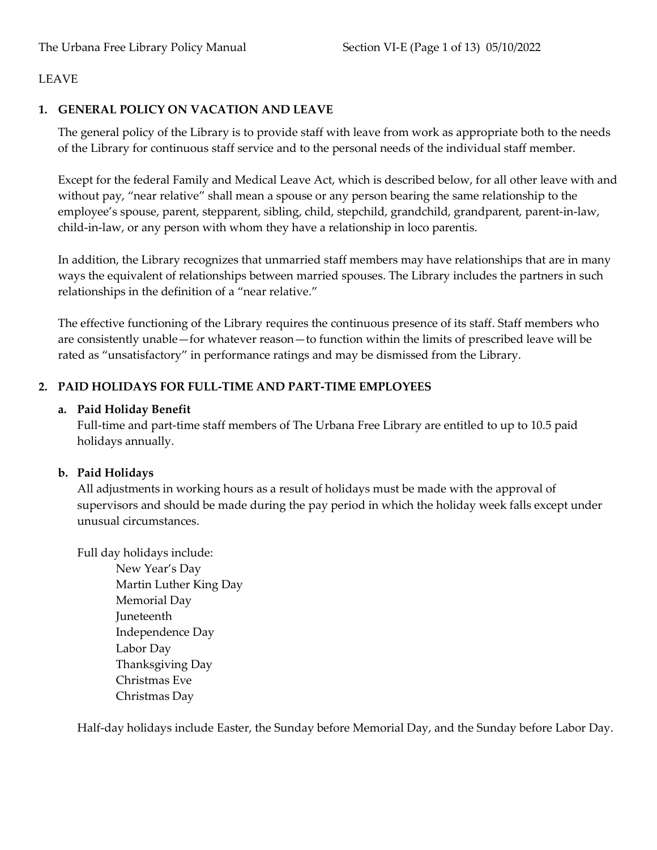### **1. GENERAL POLICY ON VACATION AND LEAVE**

The general policy of the Library is to provide staff with leave from work as appropriate both to the needs of the Library for continuous staff service and to the personal needs of the individual staff member.

Except for the federal Family and Medical Leave Act, which is described below, for all other leave with and without pay, "near relative" shall mean a spouse or any person bearing the same relationship to the employee's spouse, parent, stepparent, sibling, child, stepchild, grandchild, grandparent, parent-in-law, child-in-law, or any person with whom they have a relationship in loco parentis.

In addition, the Library recognizes that unmarried staff members may have relationships that are in many ways the equivalent of relationships between married spouses. The Library includes the partners in such relationships in the definition of a "near relative."

The effective functioning of the Library requires the continuous presence of its staff. Staff members who are consistently unable—for whatever reason—to function within the limits of prescribed leave will be rated as "unsatisfactory" in performance ratings and may be dismissed from the Library.

# **2. PAID HOLIDAYS FOR FULL-TIME AND PART-TIME EMPLOYEES**

### **a. Paid Holiday Benefit**

Full-time and part-time staff members of The Urbana Free Library are entitled to up to 10.5 paid holidays annually.

# **b. Paid Holidays**

All adjustments in working hours as a result of holidays must be made with the approval of supervisors and should be made during the pay period in which the holiday week falls except under unusual circumstances.

Full day holidays include: New Year's Day Martin Luther King Day Memorial Day Juneteenth Independence Day Labor Day Thanksgiving Day Christmas Eve Christmas Day

Half-day holidays include Easter, the Sunday before Memorial Day, and the Sunday before Labor Day.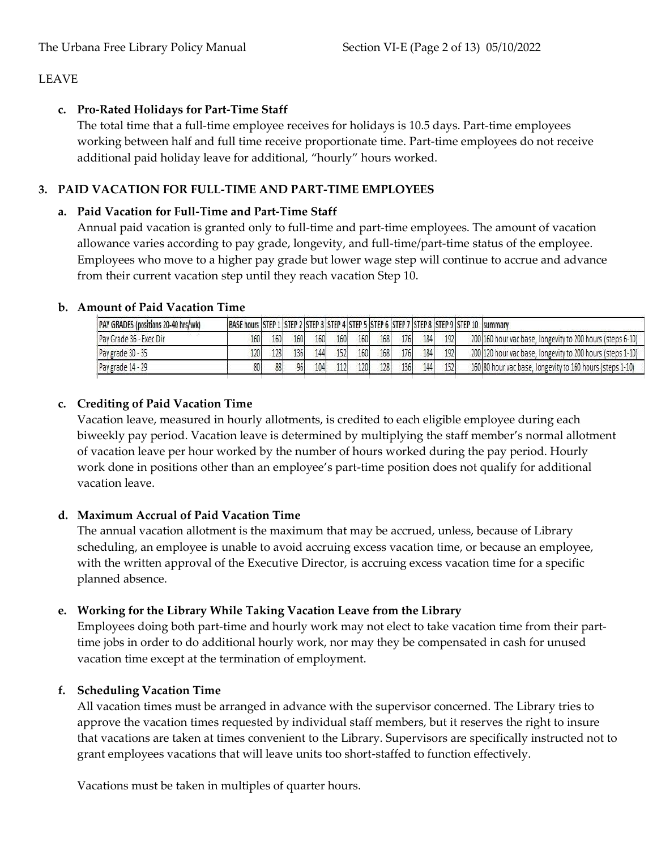# **c. Pro-Rated Holidays for Part-Time Staff**

The total time that a full-time employee receives for holidays is 10.5 days. Part-time employees working between half and full time receive proportionate time. Part-time employees do not receive additional paid holiday leave for additional, "hourly" hours worked.

# **3. PAID VACATION FOR FULL-TIME AND PART-TIME EMPLOYEES**

# **a. Paid Vacation for Full-Time and Part-Time Staff**

Annual paid vacation is granted only to full-time and part-time employees. The amount of vacation allowance varies according to pay grade, longevity, and full-time/part-time status of the employee. Employees who move to a higher pay grade but lower wage step will continue to accrue and advance from their current vacation step until they reach vacation Step 10.

| PAY GRADES (positions 20-40 hrs/wk) | BASE hours STEP 1 STEP 2 STEP 3 STEP 4 STEP 5 STEP 6 STEP 7 STEP 8 STEP 9 STEP 10 Summary |     |     |     |     |     |     |     |     |     |                                                            |
|-------------------------------------|-------------------------------------------------------------------------------------------|-----|-----|-----|-----|-----|-----|-----|-----|-----|------------------------------------------------------------|
| Pay Grade 36 - Exec Dir             | 160                                                                                       | 160 | 160 | 160 | 160 | 160 | 168 | 176 | 184 | 192 | 200 160 hour vac base, longevity to 200 hours (steps 6-10) |
| Pay grade 30 - 35                   | 120                                                                                       | 128 | 136 | 144 | 152 | 160 | 168 | 176 | 184 | 192 | 200 120 hour vac base, longevity to 200 hours (steps 1-10) |
| Pay grade 14 - 29                   |                                                                                           | 88  | 96  | 104 | 112 | 120 | 128 | 136 | 144 | 152 | 160 80 hour vac base, longevity to 160 hours (steps 1-10)  |

# **b. Amount of Paid Vacation Time**

# **c. Crediting of Paid Vacation Time**

Vacation leave, measured in hourly allotments, is credited to each eligible employee during each biweekly pay period. Vacation leave is determined by multiplying the staff member's normal allotment of vacation leave per hour worked by the number of hours worked during the pay period. Hourly work done in positions other than an employee's part-time position does not qualify for additional vacation leave.

# **d. Maximum Accrual of Paid Vacation Time**

The annual vacation allotment is the maximum that may be accrued, unless, because of Library scheduling, an employee is unable to avoid accruing excess vacation time, or because an employee, with the written approval of the Executive Director, is accruing excess vacation time for a specific planned absence.

# **e. Working for the Library While Taking Vacation Leave from the Library**

Employees doing both part-time and hourly work may not elect to take vacation time from their parttime jobs in order to do additional hourly work, nor may they be compensated in cash for unused vacation time except at the termination of employment.

# **f. Scheduling Vacation Time**

All vacation times must be arranged in advance with the supervisor concerned. The Library tries to approve the vacation times requested by individual staff members, but it reserves the right to insure that vacations are taken at times convenient to the Library. Supervisors are specifically instructed not to grant employees vacations that will leave units too short-staffed to function effectively.

Vacations must be taken in multiples of quarter hours.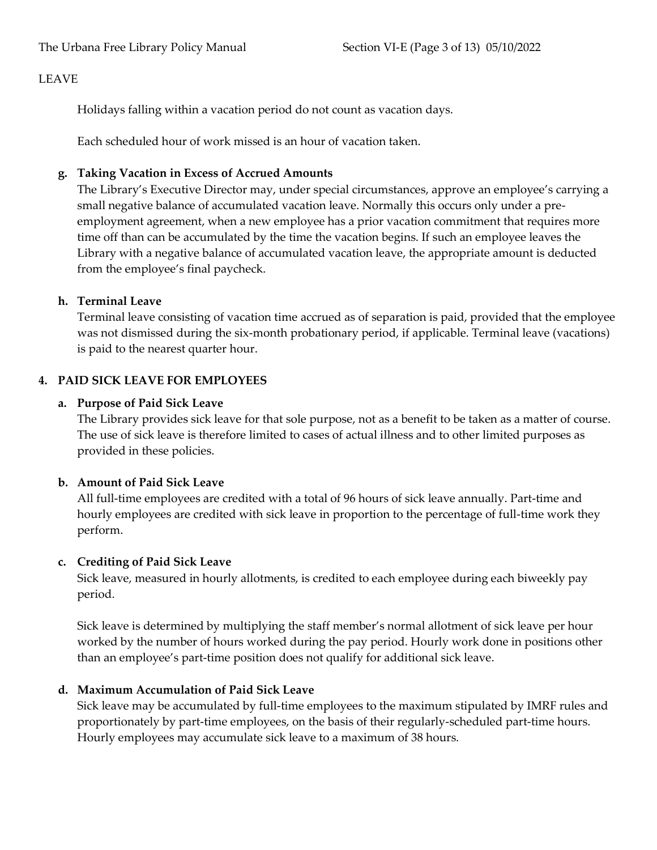Holidays falling within a vacation period do not count as vacation days.

Each scheduled hour of work missed is an hour of vacation taken.

# **g. Taking Vacation in Excess of Accrued Amounts**

The Library's Executive Director may, under special circumstances, approve an employee's carrying a small negative balance of accumulated vacation leave. Normally this occurs only under a preemployment agreement, when a new employee has a prior vacation commitment that requires more time off than can be accumulated by the time the vacation begins. If such an employee leaves the Library with a negative balance of accumulated vacation leave, the appropriate amount is deducted from the employee's final paycheck.

# **h. Terminal Leave**

Terminal leave consisting of vacation time accrued as of separation is paid, provided that the employee was not dismissed during the six-month probationary period, if applicable. Terminal leave (vacations) is paid to the nearest quarter hour.

# **4. PAID SICK LEAVE FOR EMPLOYEES**

# **a. Purpose of Paid Sick Leave**

The Library provides sick leave for that sole purpose, not as a benefit to be taken as a matter of course. The use of sick leave is therefore limited to cases of actual illness and to other limited purposes as provided in these policies.

# **b. Amount of Paid Sick Leave**

All full-time employees are credited with a total of 96 hours of sick leave annually. Part-time and hourly employees are credited with sick leave in proportion to the percentage of full-time work they perform.

# **c. Crediting of Paid Sick Leave**

Sick leave, measured in hourly allotments, is credited to each employee during each biweekly pay period.

Sick leave is determined by multiplying the staff member's normal allotment of sick leave per hour worked by the number of hours worked during the pay period. Hourly work done in positions other than an employee's part-time position does not qualify for additional sick leave.

# **d. Maximum Accumulation of Paid Sick Leave**

Sick leave may be accumulated by full-time employees to the maximum stipulated by IMRF rules and proportionately by part-time employees, on the basis of their regularly-scheduled part-time hours. Hourly employees may accumulate sick leave to a maximum of 38 hours.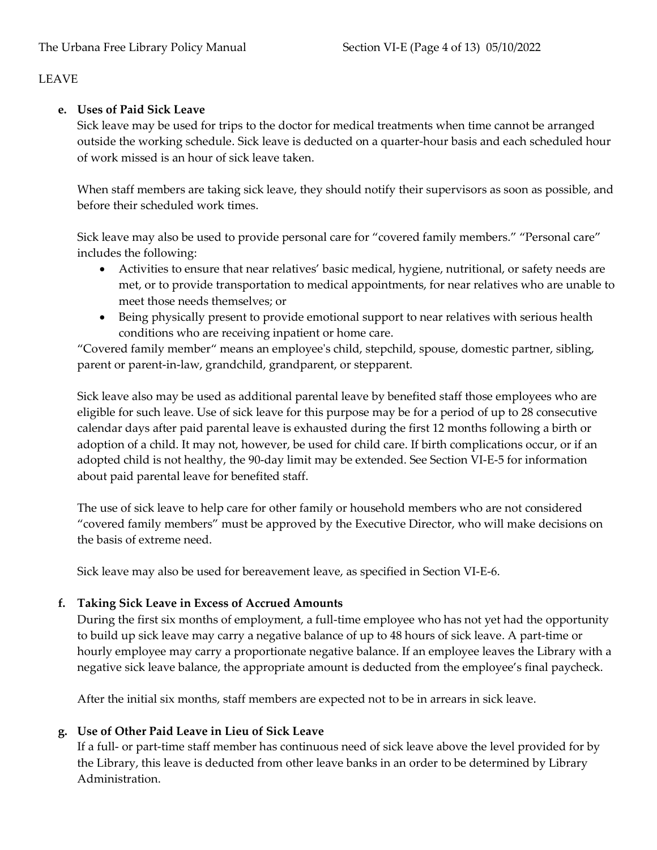# **e. Uses of Paid Sick Leave**

Sick leave may be used for trips to the doctor for medical treatments when time cannot be arranged outside the working schedule. Sick leave is deducted on a quarter-hour basis and each scheduled hour of work missed is an hour of sick leave taken.

When staff members are taking sick leave, they should notify their supervisors as soon as possible, and before their scheduled work times.

Sick leave may also be used to provide personal care for "covered family members." "Personal care" includes the following:

- Activities to ensure that near relatives' basic medical, hygiene, nutritional, or safety needs are met, or to provide transportation to medical appointments, for near relatives who are unable to meet those needs themselves; or
- Being physically present to provide emotional support to near relatives with serious health conditions who are receiving inpatient or home care.

"Covered family member" means an employee's child, stepchild, spouse, domestic partner, sibling, parent or parent-in-law, grandchild, grandparent, or stepparent.

Sick leave also may be used as additional parental leave by benefited staff those employees who are eligible for such leave. Use of sick leave for this purpose may be for a period of up to 28 consecutive calendar days after paid parental leave is exhausted during the first 12 months following a birth or adoption of a child. It may not, however, be used for child care. If birth complications occur, or if an adopted child is not healthy, the 90-day limit may be extended. See Section VI-E-5 for information about paid parental leave for benefited staff.

The use of sick leave to help care for other family or household members who are not considered "covered family members" must be approved by the Executive Director, who will make decisions on the basis of extreme need.

Sick leave may also be used for bereavement leave, as specified in Section VI-E-6.

# **f. Taking Sick Leave in Excess of Accrued Amounts**

During the first six months of employment, a full-time employee who has not yet had the opportunity to build up sick leave may carry a negative balance of up to 48 hours of sick leave. A part-time or hourly employee may carry a proportionate negative balance. If an employee leaves the Library with a negative sick leave balance, the appropriate amount is deducted from the employee's final paycheck.

After the initial six months, staff members are expected not to be in arrears in sick leave.

# **g. Use of Other Paid Leave in Lieu of Sick Leave**

If a full- or part-time staff member has continuous need of sick leave above the level provided for by the Library, this leave is deducted from other leave banks in an order to be determined by Library Administration.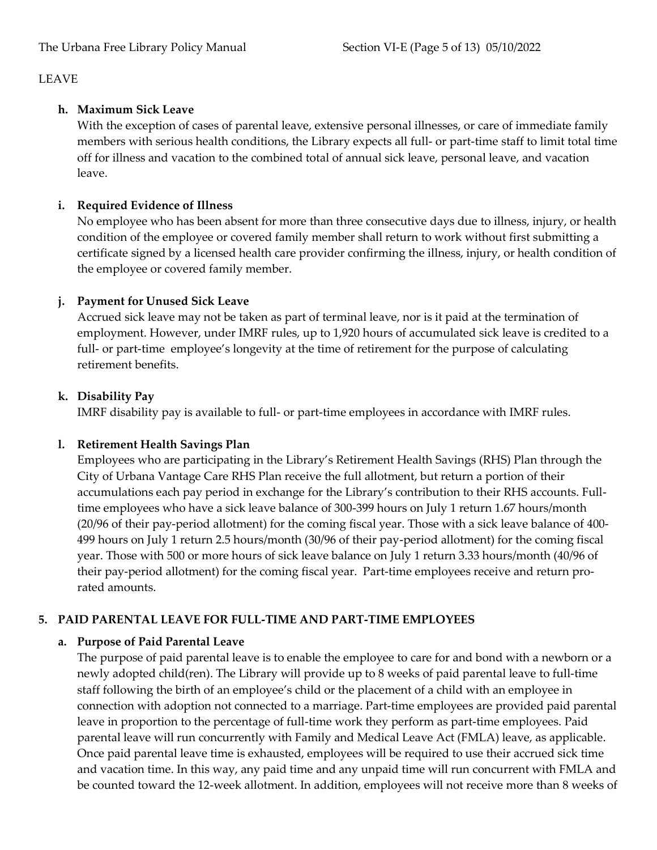# **h. Maximum Sick Leave**

With the exception of cases of parental leave, extensive personal illnesses, or care of immediate family members with serious health conditions, the Library expects all full- or part-time staff to limit total time off for illness and vacation to the combined total of annual sick leave, personal leave, and vacation leave.

# **i. Required Evidence of Illness**

No employee who has been absent for more than three consecutive days due to illness, injury, or health condition of the employee or covered family member shall return to work without first submitting a certificate signed by a licensed health care provider confirming the illness, injury, or health condition of the employee or covered family member.

# **j. Payment for Unused Sick Leave**

Accrued sick leave may not be taken as part of terminal leave, nor is it paid at the termination of employment. However, under IMRF rules, up to 1,920 hours of accumulated sick leave is credited to a full- or part-time employee's longevity at the time of retirement for the purpose of calculating retirement benefits.

# **k. Disability Pay**

IMRF disability pay is available to full- or part-time employees in accordance with IMRF rules.

# **l. Retirement Health Savings Plan**

Employees who are participating in the Library's Retirement Health Savings (RHS) Plan through the City of Urbana Vantage Care RHS Plan receive the full allotment, but return a portion of their accumulations each pay period in exchange for the Library's contribution to their RHS accounts. Fulltime employees who have a sick leave balance of 300-399 hours on July 1 return 1.67 hours/month (20/96 of their pay-period allotment) for the coming fiscal year. Those with a sick leave balance of 400- 499 hours on July 1 return 2.5 hours/month (30/96 of their pay-period allotment) for the coming fiscal year. Those with 500 or more hours of sick leave balance on July 1 return 3.33 hours/month (40/96 of their pay-period allotment) for the coming fiscal year. Part-time employees receive and return prorated amounts.

# **5. PAID PARENTAL LEAVE FOR FULL-TIME AND PART-TIME EMPLOYEES**

# **a. Purpose of Paid Parental Leave**

The purpose of paid parental leave is to enable the employee to care for and bond with a newborn or a newly adopted child(ren). The Library will provide up to 8 weeks of paid parental leave to full-time staff following the birth of an employee's child or the placement of a child with an employee in connection with adoption not connected to a marriage. Part-time employees are provided paid parental leave in proportion to the percentage of full-time work they perform as part-time employees. Paid parental leave will run concurrently with Family and Medical Leave Act (FMLA) leave, as applicable. Once paid parental leave time is exhausted, employees will be required to use their accrued sick time and vacation time. In this way, any paid time and any unpaid time will run concurrent with FMLA and be counted toward the 12-week allotment. In addition, employees will not receive more than 8 weeks of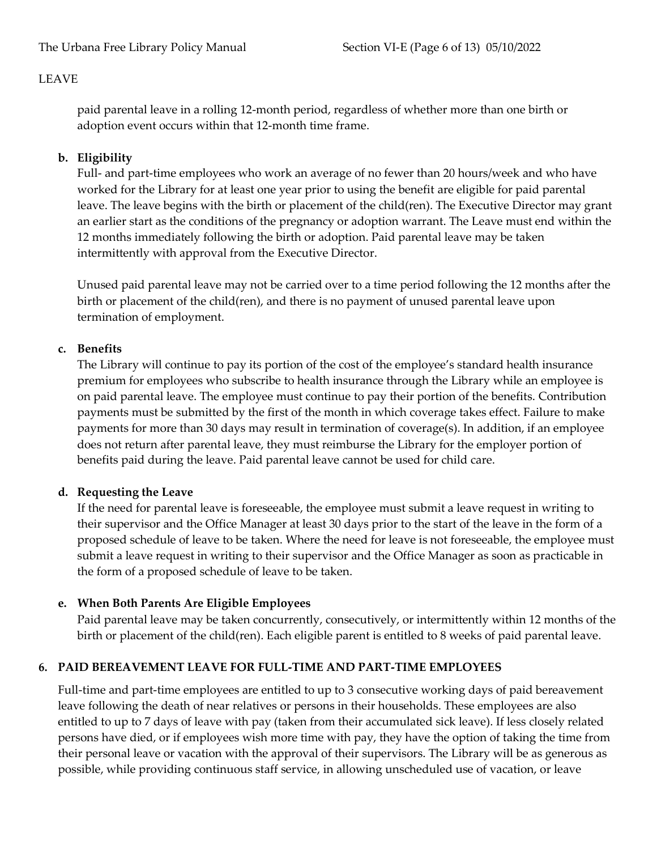paid parental leave in a rolling 12-month period, regardless of whether more than one birth or adoption event occurs within that 12-month time frame.

# **b. Eligibility**

Full- and part-time employees who work an average of no fewer than 20 hours/week and who have worked for the Library for at least one year prior to using the benefit are eligible for paid parental leave. The leave begins with the birth or placement of the child(ren). The Executive Director may grant an earlier start as the conditions of the pregnancy or adoption warrant. The Leave must end within the 12 months immediately following the birth or adoption. Paid parental leave may be taken intermittently with approval from the Executive Director.

Unused paid parental leave may not be carried over to a time period following the 12 months after the birth or placement of the child(ren), and there is no payment of unused parental leave upon termination of employment.

### **c. Benefits**

The Library will continue to pay its portion of the cost of the employee's standard health insurance premium for employees who subscribe to health insurance through the Library while an employee is on paid parental leave. The employee must continue to pay their portion of the benefits. Contribution payments must be submitted by the first of the month in which coverage takes effect. Failure to make payments for more than 30 days may result in termination of coverage(s). In addition, if an employee does not return after parental leave, they must reimburse the Library for the employer portion of benefits paid during the leave. Paid parental leave cannot be used for child care.

# **d. Requesting the Leave**

If the need for parental leave is foreseeable, the employee must submit a leave request in writing to their supervisor and the Office Manager at least 30 days prior to the start of the leave in the form of a proposed schedule of leave to be taken. Where the need for leave is not foreseeable, the employee must submit a leave request in writing to their supervisor and the Office Manager as soon as practicable in the form of a proposed schedule of leave to be taken.

# **e. When Both Parents Are Eligible Employees**

Paid parental leave may be taken concurrently, consecutively, or intermittently within 12 months of the birth or placement of the child(ren). Each eligible parent is entitled to 8 weeks of paid parental leave.

# **6. PAID BEREAVEMENT LEAVE FOR FULL-TIME AND PART-TIME EMPLOYEES**

Full-time and part-time employees are entitled to up to 3 consecutive working days of paid bereavement leave following the death of near relatives or persons in their households. These employees are also entitled to up to 7 days of leave with pay (taken from their accumulated sick leave). If less closely related persons have died, or if employees wish more time with pay, they have the option of taking the time from their personal leave or vacation with the approval of their supervisors. The Library will be as generous as possible, while providing continuous staff service, in allowing unscheduled use of vacation, or leave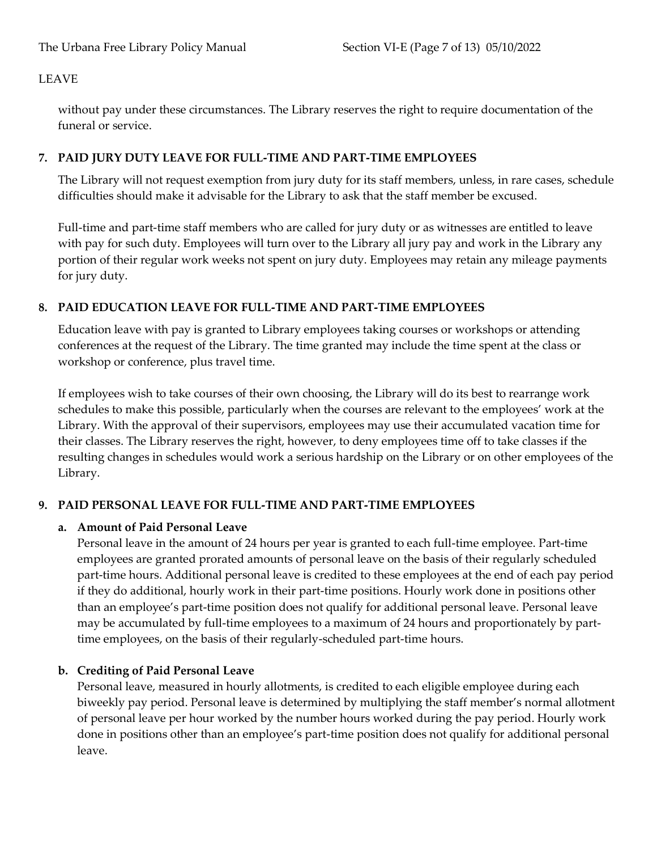without pay under these circumstances. The Library reserves the right to require documentation of the funeral or service.

# **7. PAID JURY DUTY LEAVE FOR FULL-TIME AND PART-TIME EMPLOYEES**

The Library will not request exemption from jury duty for its staff members, unless, in rare cases, schedule difficulties should make it advisable for the Library to ask that the staff member be excused.

Full-time and part-time staff members who are called for jury duty or as witnesses are entitled to leave with pay for such duty. Employees will turn over to the Library all jury pay and work in the Library any portion of their regular work weeks not spent on jury duty. Employees may retain any mileage payments for jury duty.

# **8. PAID EDUCATION LEAVE FOR FULL-TIME AND PART-TIME EMPLOYEES**

Education leave with pay is granted to Library employees taking courses or workshops or attending conferences at the request of the Library. The time granted may include the time spent at the class or workshop or conference, plus travel time.

If employees wish to take courses of their own choosing, the Library will do its best to rearrange work schedules to make this possible, particularly when the courses are relevant to the employees' work at the Library. With the approval of their supervisors, employees may use their accumulated vacation time for their classes. The Library reserves the right, however, to deny employees time off to take classes if the resulting changes in schedules would work a serious hardship on the Library or on other employees of the Library.

# **9. PAID PERSONAL LEAVE FOR FULL-TIME AND PART-TIME EMPLOYEES**

# **a. Amount of Paid Personal Leave**

Personal leave in the amount of 24 hours per year is granted to each full-time employee. Part-time employees are granted prorated amounts of personal leave on the basis of their regularly scheduled part-time hours. Additional personal leave is credited to these employees at the end of each pay period if they do additional, hourly work in their part-time positions. Hourly work done in positions other than an employee's part-time position does not qualify for additional personal leave. Personal leave may be accumulated by full-time employees to a maximum of 24 hours and proportionately by parttime employees, on the basis of their regularly-scheduled part-time hours.

# **b. Crediting of Paid Personal Leave**

Personal leave, measured in hourly allotments, is credited to each eligible employee during each biweekly pay period. Personal leave is determined by multiplying the staff member's normal allotment of personal leave per hour worked by the number hours worked during the pay period. Hourly work done in positions other than an employee's part-time position does not qualify for additional personal leave.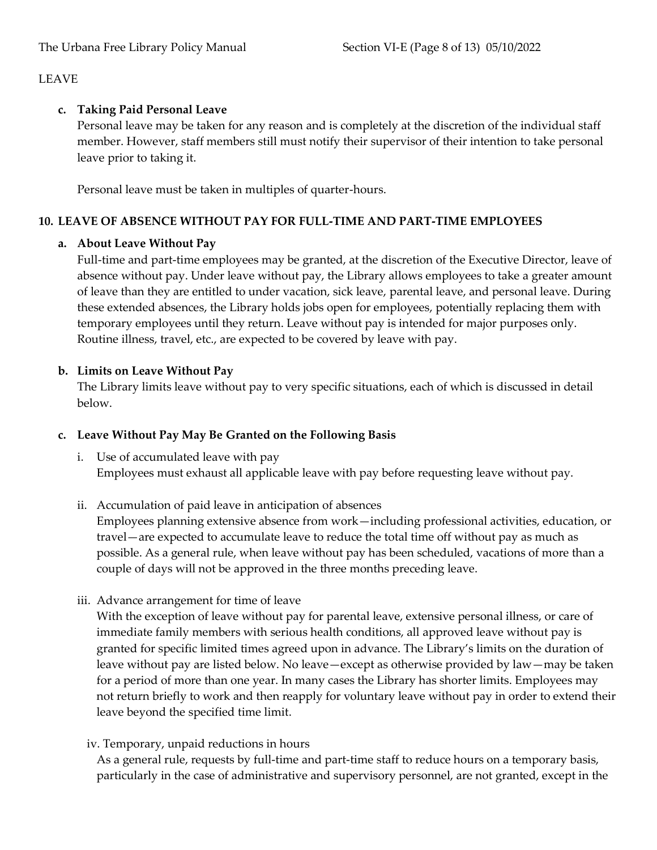# **c. Taking Paid Personal Leave**

Personal leave may be taken for any reason and is completely at the discretion of the individual staff member. However, staff members still must notify their supervisor of their intention to take personal leave prior to taking it.

Personal leave must be taken in multiples of quarter-hours.

# **10. LEAVE OF ABSENCE WITHOUT PAY FOR FULL-TIME AND PART-TIME EMPLOYEES**

### **a. About Leave Without Pay**

Full-time and part-time employees may be granted, at the discretion of the Executive Director, leave of absence without pay. Under leave without pay, the Library allows employees to take a greater amount of leave than they are entitled to under vacation, sick leave, parental leave, and personal leave. During these extended absences, the Library holds jobs open for employees, potentially replacing them with temporary employees until they return. Leave without pay is intended for major purposes only. Routine illness, travel, etc., are expected to be covered by leave with pay.

# **b. Limits on Leave Without Pay**

The Library limits leave without pay to very specific situations, each of which is discussed in detail below.

# **c. Leave Without Pay May Be Granted on the Following Basis**

- i. Use of accumulated leave with pay Employees must exhaust all applicable leave with pay before requesting leave without pay.
- ii. Accumulation of paid leave in anticipation of absences

Employees planning extensive absence from work—including professional activities, education, or travel—are expected to accumulate leave to reduce the total time off without pay as much as possible. As a general rule, when leave without pay has been scheduled, vacations of more than a couple of days will not be approved in the three months preceding leave.

iii. Advance arrangement for time of leave

With the exception of leave without pay for parental leave, extensive personal illness, or care of immediate family members with serious health conditions, all approved leave without pay is granted for specific limited times agreed upon in advance. The Library's limits on the duration of leave without pay are listed below. No leave—except as otherwise provided by law—may be taken for a period of more than one year. In many cases the Library has shorter limits. Employees may not return briefly to work and then reapply for voluntary leave without pay in order to extend their leave beyond the specified time limit.

# iv. Temporary, unpaid reductions in hours

As a general rule, requests by full-time and part-time staff to reduce hours on a temporary basis, particularly in the case of administrative and supervisory personnel, are not granted, except in the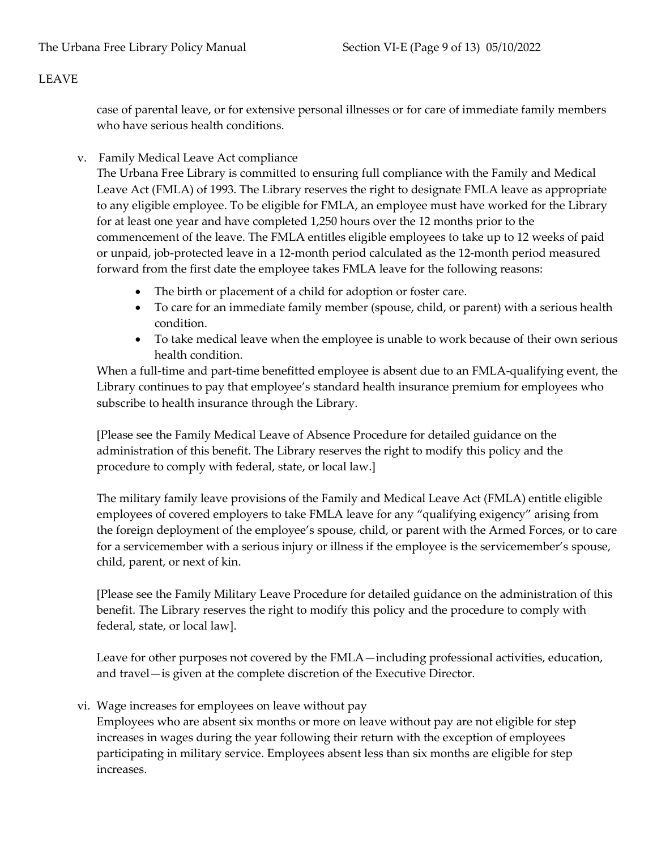case of parental leave, or for extensive personal illnesses or for care of immediate family members who have serious health conditions.

v. Family Medical Leave Act compliance

The Urbana Free Library is committed to ensuring full compliance with the Family and Medical Leave Act (FMLA) of 1993. The Library reserves the right to designate FMLA leave as appropriate to any eligible employee. To be eligible for FMLA, an employee must have worked for the Library for at least one year and have completed 1,250 hours over the 12 months prior to the commencement of the leave. The FMLA entitles eligible employees to take up to 12 weeks of paid or unpaid, job-protected leave in a 12-month period calculated as the 12-month period measured forward from the first date the employee takes FMLA leave for the following reasons:

- The birth or placement of a child for adoption or foster care.
- To care for an immediate family member (spouse, child, or parent) with a serious health condition.
- To take medical leave when the employee is unable to work because of their own serious health condition.

When a full-time and part-time benefitted employee is absent due to an FMLA-qualifying event, the Library continues to pay that employee's standard health insurance premium for employees who subscribe to health insurance through the Library.

[Please see the Family Medical Leave of Absence Procedure for detailed guidance on the administration of this benefit. The Library reserves the right to modify this policy and the procedure to comply with federal, state, or local law.]

The military family leave provisions of the Family and Medical Leave Act (FMLA) entitle eligible employees of covered employers to take FMLA leave for any "qualifying exigency" arising from the foreign deployment of the employee's spouse, child, or parent with the Armed Forces, or to care for a servicemember with a serious injury or illness if the employee is the servicemember's spouse, child, parent, or next of kin.

[Please see the Family Military Leave Procedure for detailed guidance on the administration of this benefit. The Library reserves the right to modify this policy and the procedure to comply with federal, state, or local law].

Leave for other purposes not covered by the FMLA—including professional activities, education, and travel—is given at the complete discretion of the Executive Director.

vi. Wage increases for employees on leave without pay

Employees who are absent six months or more on leave without pay are not eligible for step increases in wages during the year following their return with the exception of employees participating in military service. Employees absent less than six months are eligible for step increases.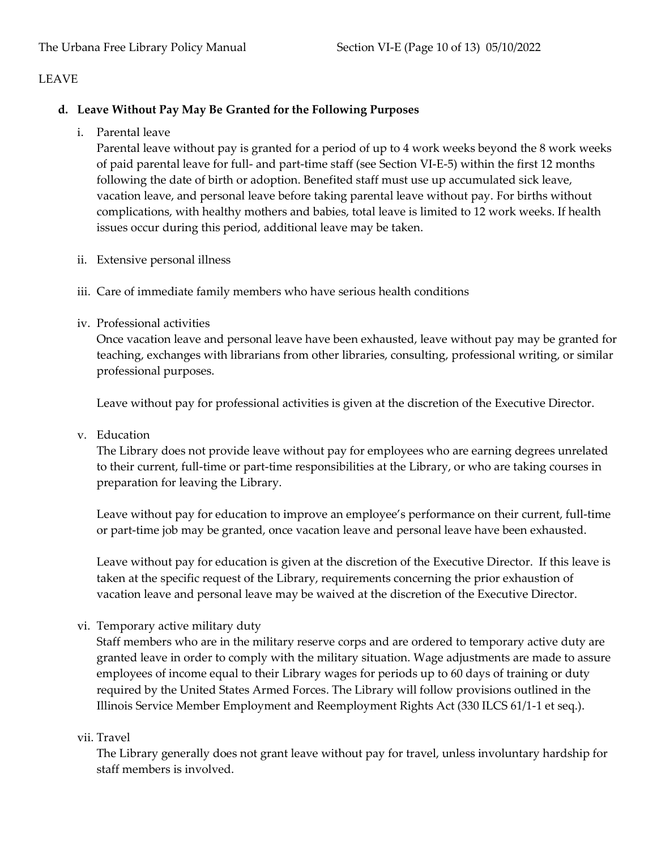# **d. Leave Without Pay May Be Granted for the Following Purposes**

i. Parental leave

Parental leave without pay is granted for a period of up to 4 work weeks beyond the 8 work weeks of paid parental leave for full- and part-time staff (see Section VI-E-5) within the first 12 months following the date of birth or adoption. Benefited staff must use up accumulated sick leave, vacation leave, and personal leave before taking parental leave without pay. For births without complications, with healthy mothers and babies, total leave is limited to 12 work weeks. If health issues occur during this period, additional leave may be taken.

- ii. Extensive personal illness
- iii. Care of immediate family members who have serious health conditions
- iv. Professional activities

Once vacation leave and personal leave have been exhausted, leave without pay may be granted for teaching, exchanges with librarians from other libraries, consulting, professional writing, or similar professional purposes.

Leave without pay for professional activities is given at the discretion of the Executive Director.

v. Education

The Library does not provide leave without pay for employees who are earning degrees unrelated to their current, full-time or part-time responsibilities at the Library, or who are taking courses in preparation for leaving the Library.

Leave without pay for education to improve an employee's performance on their current, full-time or part-time job may be granted, once vacation leave and personal leave have been exhausted.

Leave without pay for education is given at the discretion of the Executive Director. If this leave is taken at the specific request of the Library, requirements concerning the prior exhaustion of vacation leave and personal leave may be waived at the discretion of the Executive Director.

vi. Temporary active military duty

Staff members who are in the military reserve corps and are ordered to temporary active duty are granted leave in order to comply with the military situation. Wage adjustments are made to assure employees of income equal to their Library wages for periods up to 60 days of training or duty required by the United States Armed Forces. The Library will follow provisions outlined in the Illinois Service Member Employment and Reemployment Rights Act (330 ILCS 61/1-1 et seq.).

#### vii. Travel

The Library generally does not grant leave without pay for travel, unless involuntary hardship for staff members is involved.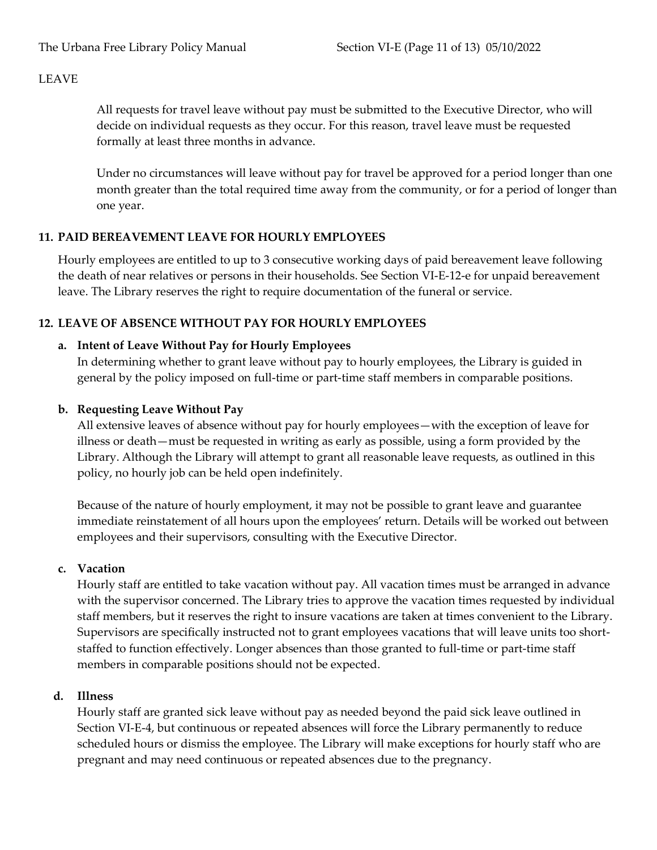All requests for travel leave without pay must be submitted to the Executive Director, who will decide on individual requests as they occur. For this reason, travel leave must be requested formally at least three months in advance.

Under no circumstances will leave without pay for travel be approved for a period longer than one month greater than the total required time away from the community, or for a period of longer than one year.

### **11. PAID BEREAVEMENT LEAVE FOR HOURLY EMPLOYEES**

Hourly employees are entitled to up to 3 consecutive working days of paid bereavement leave following the death of near relatives or persons in their households. See Section VI-E-12-e for unpaid bereavement leave. The Library reserves the right to require documentation of the funeral or service.

### **12. LEAVE OF ABSENCE WITHOUT PAY FOR HOURLY EMPLOYEES**

### **a. Intent of Leave Without Pay for Hourly Employees**

In determining whether to grant leave without pay to hourly employees, the Library is guided in general by the policy imposed on full-time or part-time staff members in comparable positions.

### **b. Requesting Leave Without Pay**

All extensive leaves of absence without pay for hourly employees—with the exception of leave for illness or death—must be requested in writing as early as possible, using a form provided by the Library. Although the Library will attempt to grant all reasonable leave requests, as outlined in this policy, no hourly job can be held open indefinitely.

Because of the nature of hourly employment, it may not be possible to grant leave and guarantee immediate reinstatement of all hours upon the employees' return. Details will be worked out between employees and their supervisors, consulting with the Executive Director.

#### **c. Vacation**

Hourly staff are entitled to take vacation without pay. All vacation times must be arranged in advance with the supervisor concerned. The Library tries to approve the vacation times requested by individual staff members, but it reserves the right to insure vacations are taken at times convenient to the Library. Supervisors are specifically instructed not to grant employees vacations that will leave units too shortstaffed to function effectively. Longer absences than those granted to full-time or part-time staff members in comparable positions should not be expected.

#### **d. Illness**

Hourly staff are granted sick leave without pay as needed beyond the paid sick leave outlined in Section VI-E-4, but continuous or repeated absences will force the Library permanently to reduce scheduled hours or dismiss the employee. The Library will make exceptions for hourly staff who are pregnant and may need continuous or repeated absences due to the pregnancy.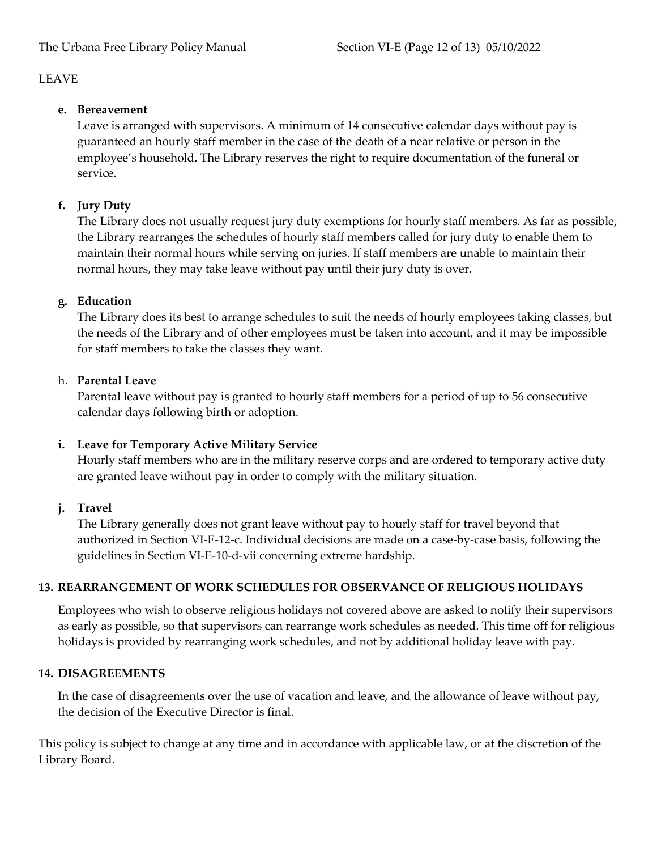# **e. Bereavement**

Leave is arranged with supervisors. A minimum of 14 consecutive calendar days without pay is guaranteed an hourly staff member in the case of the death of a near relative or person in the employee's household. The Library reserves the right to require documentation of the funeral or service.

# **f. Jury Duty**

The Library does not usually request jury duty exemptions for hourly staff members. As far as possible, the Library rearranges the schedules of hourly staff members called for jury duty to enable them to maintain their normal hours while serving on juries. If staff members are unable to maintain their normal hours, they may take leave without pay until their jury duty is over.

# **g. Education**

The Library does its best to arrange schedules to suit the needs of hourly employees taking classes, but the needs of the Library and of other employees must be taken into account, and it may be impossible for staff members to take the classes they want.

# h. **Parental Leave**

Parental leave without pay is granted to hourly staff members for a period of up to 56 consecutive calendar days following birth or adoption.

# **i. Leave for Temporary Active Military Service**

Hourly staff members who are in the military reserve corps and are ordered to temporary active duty are granted leave without pay in order to comply with the military situation.

# **j. Travel**

The Library generally does not grant leave without pay to hourly staff for travel beyond that authorized in Section VI-E-12-c. Individual decisions are made on a case-by-case basis, following the guidelines in Section VI-E-10-d-vii concerning extreme hardship.

# **13. REARRANGEMENT OF WORK SCHEDULES FOR OBSERVANCE OF RELIGIOUS HOLIDAYS**

Employees who wish to observe religious holidays not covered above are asked to notify their supervisors as early as possible, so that supervisors can rearrange work schedules as needed. This time off for religious holidays is provided by rearranging work schedules, and not by additional holiday leave with pay.

# **14. DISAGREEMENTS**

In the case of disagreements over the use of vacation and leave, and the allowance of leave without pay, the decision of the Executive Director is final.

This policy is subject to change at any time and in accordance with applicable law, or at the discretion of the Library Board.